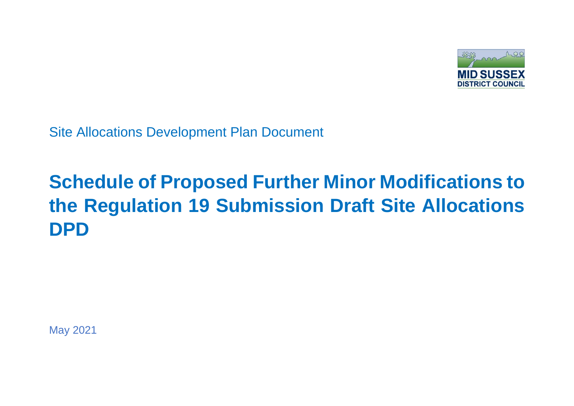

Site Allocations Development Plan Document

## **Schedule of Proposed Further Minor Modifications to the Regulation 19 Submission Draft Site Allocations DPD**

May 2021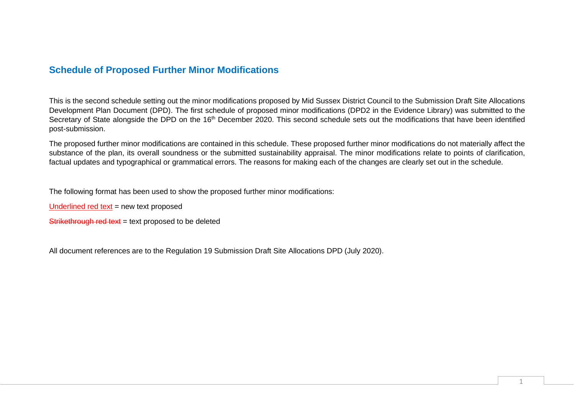## **Schedule of Proposed Further Minor Modifications**

This is the second schedule setting out the minor modifications proposed by Mid Sussex District Council to the Submission Draft Site Allocations Development Plan Document (DPD). The first schedule of proposed minor modifications (DPD2 in the Evidence Library) was submitted to the Secretary of State alongside the DPD on the 16<sup>th</sup> December 2020. This second schedule sets out the modifications that have been identified post-submission.

The proposed further minor modifications are contained in this schedule. These proposed further minor modifications do not materially affect the substance of the plan, its overall soundness or the submitted sustainability appraisal. The minor modifications relate to points of clarification, factual updates and typographical or grammatical errors. The reasons for making each of the changes are clearly set out in the schedule.

The following format has been used to show the proposed further minor modifications:

Underlined red text  $=$  new text proposed

Strikethrough red text = text proposed to be deleted

All document references are to the Regulation 19 Submission Draft Site Allocations DPD (July 2020).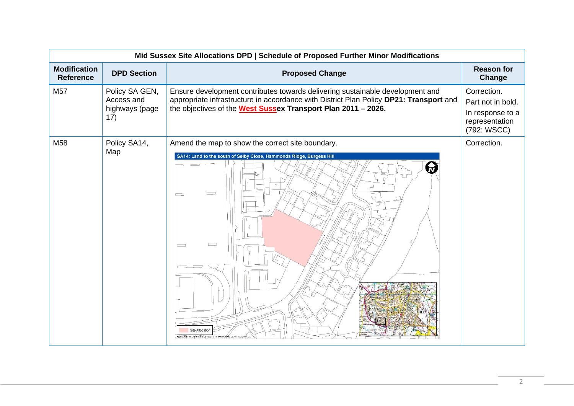|                                         | Mid Sussex Site Allocations DPD   Schedule of Proposed Further Minor Modifications |                                                                                                                                                                                                                                          |                                                                                       |  |
|-----------------------------------------|------------------------------------------------------------------------------------|------------------------------------------------------------------------------------------------------------------------------------------------------------------------------------------------------------------------------------------|---------------------------------------------------------------------------------------|--|
| <b>Modification</b><br><b>Reference</b> | <b>DPD Section</b>                                                                 | <b>Proposed Change</b>                                                                                                                                                                                                                   | <b>Reason for</b><br>Change                                                           |  |
| M57                                     | Policy SA GEN,<br>Access and<br>highways (page<br>17)                              | Ensure development contributes towards delivering sustainable development and<br>appropriate infrastructure in accordance with District Plan Policy DP21: Transport and<br>the objectives of the West Sussex Transport Plan 2011 - 2026. | Correction.<br>Part not in bold.<br>In response to a<br>representation<br>(792: WSCC) |  |
| M58                                     | Policy SA14,<br>Map                                                                | Amend the map to show the correct site boundary.<br>SA14: Land to the south of Selby Close, Hammonds Ridge, Burgess Hill<br>$\qquad \qquad \qquad \qquad$<br>$\qquad \qquad \qquad \qquad \qquad$<br>6<br>一<br>200                       | Correction.                                                                           |  |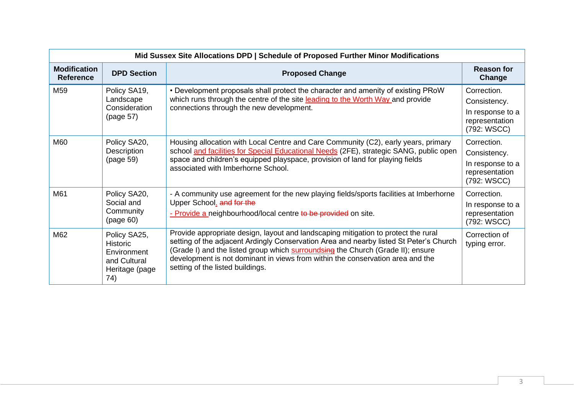| Mid Sussex Site Allocations DPD   Schedule of Proposed Further Minor Modifications |                                                                                         |                                                                                                                                                                                                                                                                                                                                                                                       |                                                                                  |
|------------------------------------------------------------------------------------|-----------------------------------------------------------------------------------------|---------------------------------------------------------------------------------------------------------------------------------------------------------------------------------------------------------------------------------------------------------------------------------------------------------------------------------------------------------------------------------------|----------------------------------------------------------------------------------|
| <b>Modification</b><br><b>Reference</b>                                            | <b>DPD Section</b>                                                                      | <b>Proposed Change</b>                                                                                                                                                                                                                                                                                                                                                                | <b>Reason for</b><br>Change                                                      |
| M <sub>59</sub>                                                                    | Policy SA19,<br>Landscape<br>Consideration<br>(page 57)                                 | • Development proposals shall protect the character and amenity of existing PRoW<br>which runs through the centre of the site leading to the Worth Way and provide<br>connections through the new development.                                                                                                                                                                        | Correction.<br>Consistency.<br>In response to a<br>representation<br>(792: WSCC) |
| M60                                                                                | Policy SA20,<br>Description<br>(page 59)                                                | Housing allocation with Local Centre and Care Community (C2), early years, primary<br>school and facilities for Special Educational Needs (2FE), strategic SANG, public open<br>space and children's equipped playspace, provision of land for playing fields<br>associated with Imberhorne School.                                                                                   | Correction.<br>Consistency.<br>In response to a<br>representation<br>(792: WSCC) |
| M61                                                                                | Policy SA20,<br>Social and<br>Community<br>(page 60)                                    | - A community use agreement for the new playing fields/sports facilities at Imberhorne<br>Upper School. and for the<br>- Provide a neighbourhood/local centre to be provided on site.                                                                                                                                                                                                 | Correction.<br>In response to a<br>representation<br>(792: WSCC)                 |
| M62                                                                                | Policy SA25,<br><b>Historic</b><br>Environment<br>and Cultural<br>Heritage (page<br>74) | Provide appropriate design, layout and landscaping mitigation to protect the rural<br>setting of the adjacent Ardingly Conservation Area and nearby listed St Peter's Church<br>(Grade I) and the listed group which surroundsing the Church (Grade II); ensure<br>development is not dominant in views from within the conservation area and the<br>setting of the listed buildings. | Correction of<br>typing error.                                                   |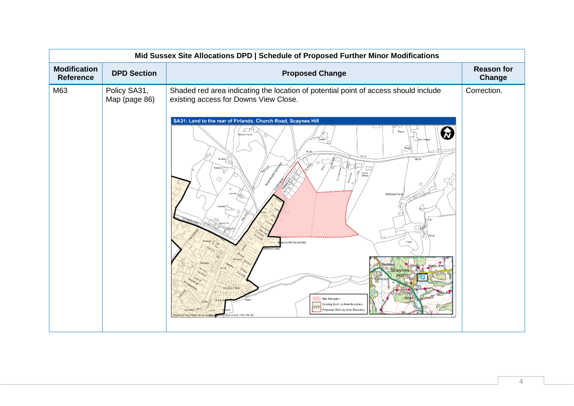| Mid Sussex Site Allocations DPD   Schedule of Proposed Further Minor Modifications |                               |                                                                                                                                                                                                                                                                                                                                                                                                               |                             |
|------------------------------------------------------------------------------------|-------------------------------|---------------------------------------------------------------------------------------------------------------------------------------------------------------------------------------------------------------------------------------------------------------------------------------------------------------------------------------------------------------------------------------------------------------|-----------------------------|
| <b>Modification</b><br><b>Reference</b>                                            | <b>DPD Section</b>            | <b>Proposed Change</b>                                                                                                                                                                                                                                                                                                                                                                                        | <b>Reason for</b><br>Change |
| M63                                                                                | Policy SA31,<br>Map (page 86) | Shaded red area indicating the location of potential point of access should include<br>existing access for Downs View Close.<br>SA31: Land to the rear of Firlands, Church Road, Scaynes Hill<br>四中<br>C. Farm<br>₩<br><b>Inches House</b><br><b>Gar Codes</b><br>The Born /<br>65.4m<br>Keepers (<br>ĩΓ<br>Virginiu<br>Golfage<br>◇<br>Harriet<br>Watlands Fam<br>nes Hill Social Club<br>Bedales<br>Scaynes | Correction.                 |
|                                                                                    |                               | <b>Ince</b><br>Site Allocation<br>Existing Built Up Area Boundary<br>,,,,<br><b>Harrodale</b> Links<br>Proposed Built Up Area Boundar<br>District Council, 100021794.2021<br>caredocod from Ordinance Sendy musping                                                                                                                                                                                           |                             |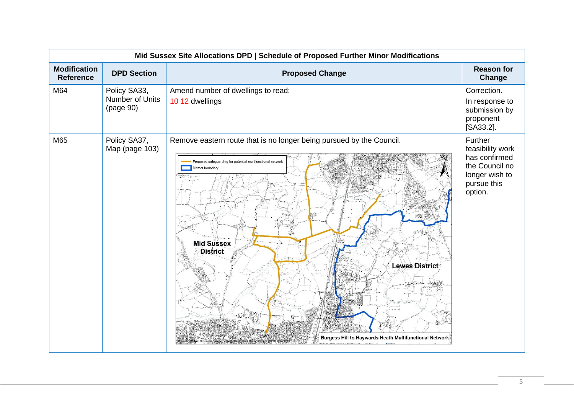| Mid Sussex Site Allocations DPD   Schedule of Proposed Further Minor Modifications |                                              |                                                                                                                                                                                                                                                                                                           |                                                                                                            |
|------------------------------------------------------------------------------------|----------------------------------------------|-----------------------------------------------------------------------------------------------------------------------------------------------------------------------------------------------------------------------------------------------------------------------------------------------------------|------------------------------------------------------------------------------------------------------------|
| <b>Modification</b><br><b>Reference</b>                                            | <b>DPD Section</b>                           | <b>Proposed Change</b>                                                                                                                                                                                                                                                                                    | <b>Reason for</b><br>Change                                                                                |
| M64                                                                                | Policy SA33,<br>Number of Units<br>(page 90) | Amend number of dwellings to read:<br>10 42-dwellings                                                                                                                                                                                                                                                     | Correction.<br>In response to<br>submission by<br>proponent<br>[SA33.2].                                   |
| M65                                                                                | Policy SA37,<br>Map (page 103)               | Remove eastern route that is no longer being pursued by the Council.<br>$\mathbb{N}$<br>Proposed safeguarding for potential multifunctional network<br>District boundary<br>53<br><b>Mid Sussex</b><br><b>District</b><br><b>Lewes District</b><br>Burgess Hill to Haywards Heath Multifunctional Network | Further<br>feasibility work<br>has confirmed<br>the Council no<br>longer wish to<br>pursue this<br>option. |